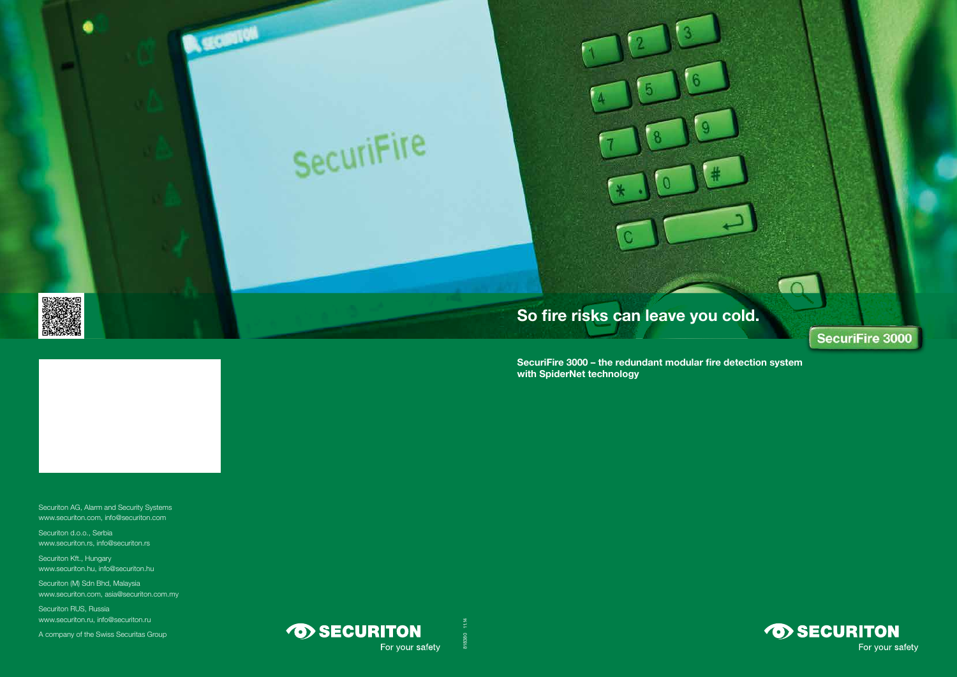# SecuriFire

**B. GOINTON** 



SecuriFire 3000 – the redundant modular fire detection system with SpiderNet technology



# So fire risks can leave you cold.

Securiton AG, Alarm and Security Systems www.securiton.com, info@securiton.com

Securiton d.o.o., Serbia www.securiton.rs, info@securiton.rs

> 818380 11.14818380



SecuriFire 3000



Securiton Kft., Hungary www.securiton.hu, info@securiton.hu

Securiton (M) Sdn Bhd, Malaysia www.securiton.com, asia@securiton.com.my

Securiton RUS, Russia www.securiton.ru, info@securiton.ru

A company of the Swiss Securitas Group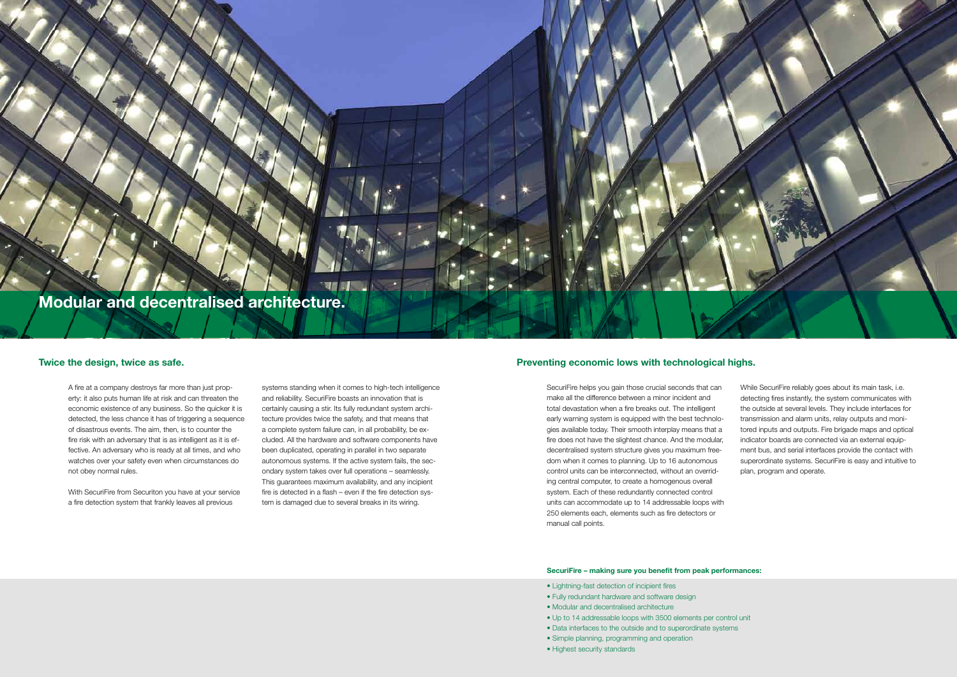# Modular and decentralised architecture.

### SecuriFire – making sure you benefit from peak performances:

- Lightning-fast detection of incipient fires
- Fully redundant hardware and software design
- Modular and decentralised architecture
- Up to 14 addressable loops with 3500 elements per control unit
	- Data interfaces to the outside and to superordinate systems
	- Simple planning, programming and operation
	- Highest security standards



A fire at a company destroys far more than just property: it also puts human life at risk and can threaten the economic existence of any business. So the quicker it is detected, the less chance it has of triggering a sequence of disastrous events. The aim, then, is to counter the fire risk with an adversary that is as intelligent as it is effective. An adversary who is ready at all times, and who watches over your safety even when circumstances do not obey normal rules.

With SecuriFire from Securiton you have at your service a fire detection system that frankly leaves all previous

systems standing when it comes to high-tech intelligence and reliability. SecuriFire boasts an innovation that is certainly causing a stir. Its fully redundant system architecture provides twice the safety, and that means that a complete system failure can, in all probability, be excluded. All the hardware and software components have been duplicated, operating in parallel in two separate autonomous systems. If the active system fails, the secondary system takes over full operations – seamlessly. This guarantees maximum availability, and any incipient fire is detected in a flash – even if the fire detection system is damaged due to several breaks in its wiring.

## Twice the design, twice as safe. Twice the design, twice as safe. The example of the structure of the design, twice as safe.

SecuriFire helps you gain those crucial seconds that can make all the difference between a minor incident and total devastation when a fire breaks out. The intelligent early warning system is equipped with the best technologies available today. Their smooth interplay means that a fire does not have the slightest chance. And the modular, decentralised system structure gives you maximum freedom when it comes to planning. Up to 16 autonomous control units can be interconnected, without an overriding central computer, to create a homogenous overall system. Each of these redundantly connected control units can accommodate up to 14 addressable loops with 250 elements each, elements such as fire detectors or manual call points. While SecuriFire reliably goes about its main task, i.e. detecting fires instantly, the system communicates with the outside at several levels. They include interfaces for transmission and alarm units, relay outputs and monitored inputs and outputs. Fire brigade maps and optical indicator boards are connected via an external equipment bus, and serial interfaces provide the contact with superordinate systems. SecuriFire is easy and intuitive to plan, program and operate.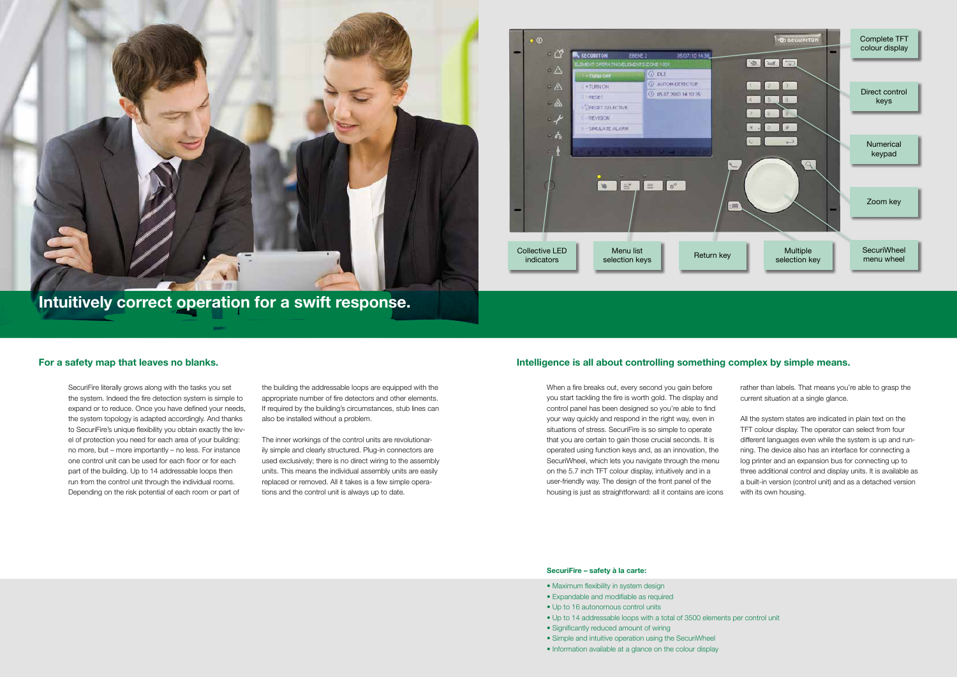## SecuriFire – safety à la carte:

- Maximum flexibility in system design
- Expandable and modifiable as required
- Up to 16 autonomous control units
- Up to 14 addressable loops with a total of 3500 elements per control unit
	- Significantly reduced amount of wiring
	- Simple and intuitive operation using the SecuriWheel
	- Information available at a glance on the colour display

SecuriFire literally grows along with the tasks you set the system. Indeed the fire detection system is simple to expand or to reduce. Once you have defined your needs, the system topology is adapted accordingly. And thanks to SecuriFire's unique flexibility you obtain exactly the level of protection you need for each area of your building: no more, but – more importantly – no less. For instance one control unit can be used for each floor or for each part of the building. Up to 14 addressable loops then run from the control unit through the individual rooms. Depending on the risk potential of each room or part of

the building the addressable loops are equipped with the appropriate number of fire detectors and other elements. If required by the building's circumstances, stub lines can also be installed without a problem.

The inner workings of the control units are revolutionarily simple and clearly structured. Plug-in connectors are used exclusively; there is no direct wiring to the assembly units. This means the individual assembly units are easily replaced or removed. All it takes is a few simple operations and the control unit is always up to date.

## For a safety map that leaves no blanks. The state of the state of the ligence is all about controlling something complex by simple means.

When a fire breaks out, every second you gain before you start tackling the fire is worth gold. The display and control panel has been designed so you're able to find your way quickly and respond in the right way, even in situations of stress. SecuriFire is so simple to operate that you are certain to gain those crucial seconds. It is operated using function keys and, as an innovation, the SecuriWheel, which lets you navigate through the menu on the 5.7 inch TFT colour display, intuitively and in a user-friendly way. The design of the front panel of the housing is just as straightforward: all it contains are icons rather than labels. That means you're able to grasp the current situation at a single glance.

All the system states are indicated in plain text on the TFT colour display. The operator can select from four different languages even while the system is up and running. The device also has an interface for connecting a log printer and an expansion bus for connecting up to three additional control and display units. It is available as a built-in version (control unit) and as a detached version with its own housing.

Intuitively correct operation for a swift response.



![](_page_2_Picture_1.jpeg)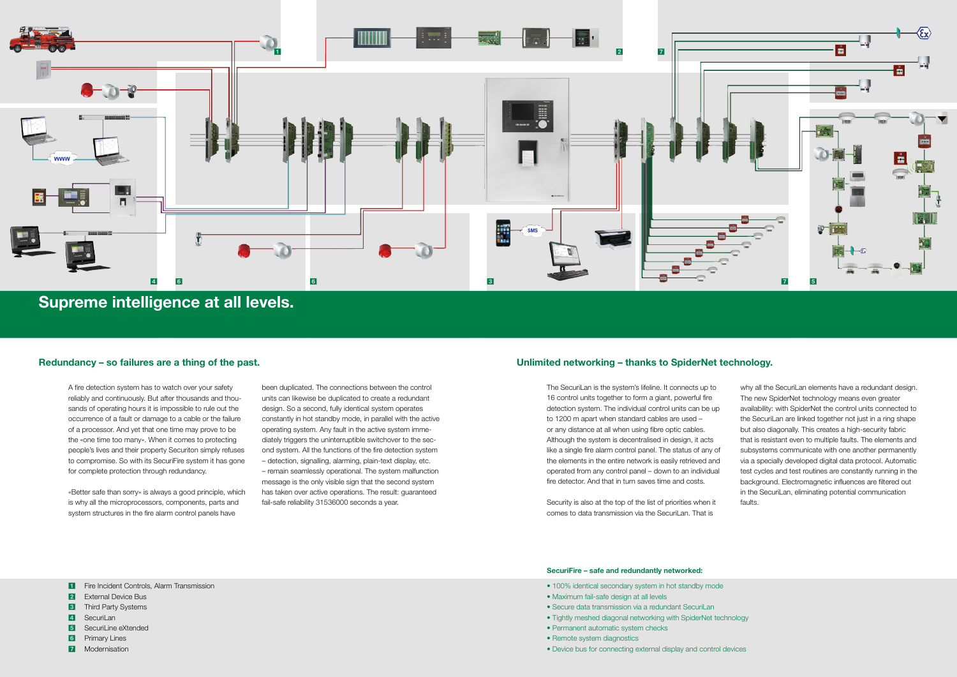## SecuriFire – safe and redundantly networked:

- 100% identical secondary system in hot standby mode
- Maximum fail-safe design at all levels
- Secure data transmission via a redundant SecuriLan
- Tightly meshed diagonal networking with SpiderNet technology
	- Permanent automatic system checks
	- Remote system diagnostics
	- Device bus for connecting external display and control devices

A fire detection system has to watch over your safety reliably and continuously. But after thousands and thousands of operating hours it is impossible to rule out the occurrence of a fault or damage to a cable or the failure of a processor. And yet that one time may prove to be the «one time too many». When it comes to protecting people's lives and their property Securiton simply refuses to compromise. So with its SecuriFire system it has gone for complete protection through redundancy.

«Better safe than sorry» is always a good principle, which is why all the microprocessors, components, parts and system structures in the fire alarm control panels have

been duplicated. The connections between the control units can likewise be duplicated to create a redundant design. So a second, fully identical system operates constantly in hot standby mode, in parallel with the active operating system. Any fault in the active system immediately triggers the uninterruptible switchover to the second system. All the functions of the fire detection system – detection, signalling, alarming, plain-text display, etc. – remain seamlessly operational. The system malfunction message is the only visible sign that the second system has taken over active operations. The result: guaranteed fail-safe reliability 31536000 seconds a year.

## Redundancy – so failures are a thing of the past. The past of the past of the past of the past of the past of the past of the past of the past of the past of the past of the past of the past of the past of the past of the

![](_page_3_Figure_0.jpeg)

Supreme intelligence at all levels.

- **1** Fire Incident Controls, Alarm Transmission
- **2** External Device Bus
- **3** Third Party Systems
- 4 SecuriLan
- **5** SecuriLine eXtended
- 6 Primary Lines
- 7 Modernisation

The SecuriLan is the system's lifeline. It connects up to 16 control units together to form a giant, powerful fire detection system. The individual control units can be up to 1200 m apart when standard cables are used – or any distance at all when using fibre optic cables. Although the system is decentralised in design, it acts like a single fire alarm control panel. The status of any of the elements in the entire network is easily retrieved and operated from any control panel – down to an individual fire detector. And that in turn saves time and costs.

Security is also at the top of the list of priorities when it comes to data transmission via the SecuriLan. That is

why all the SecuriLan elements have a redundant design. The new SpiderNet technology means even greater availability: with SpiderNet the control units connected to the SecuriLan are linked together not just in a ring shape but also diagonally. This creates a high-security fabric that is resistant even to multiple faults. The elements and subsystems communicate with one another permanently via a specially developed digital data protocol. Automatic test cycles and test routines are constantly running in the background. Electromagnetic influences are filtered out in the SecuriLan, eliminating potential communication faults.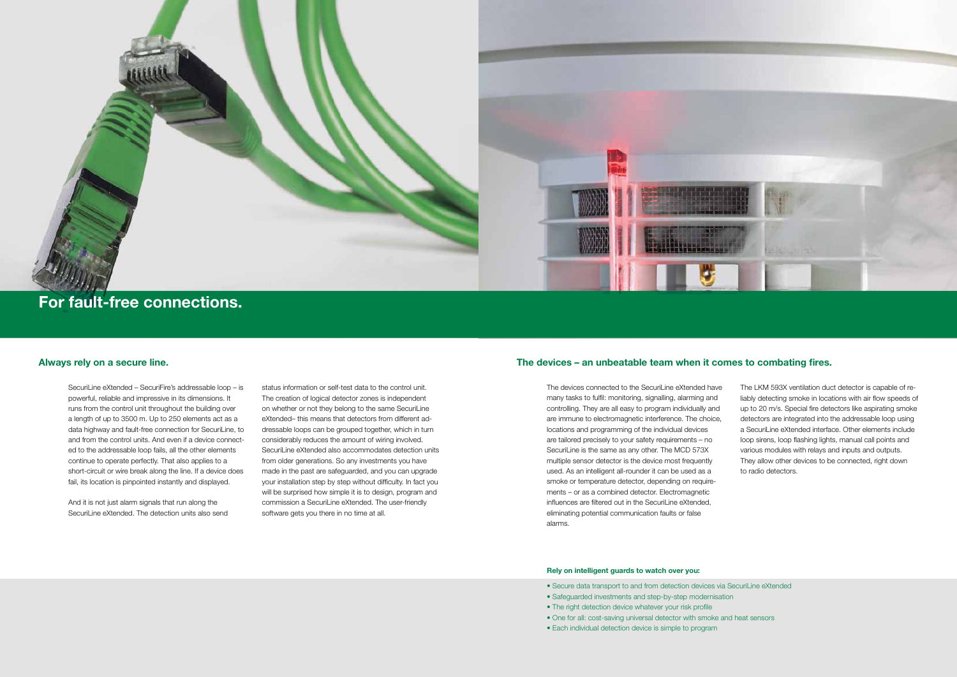## Rely on intelligent guards to watch over you:

- Secure data transport to and from detection devices via SecuriLine eXtended
- Safeguarded investments and step-by-step modernisation
- The right detection device whatever your risk profile
- One for all: cost-saving universal detector with smoke and heat sensors
- Each individual detection device is simple to program

SecuriLine eXtended – SecuriFire's addressable loop – is powerful, reliable and impressive in its dimensions. It runs from the control unit throughout the building over a length of up to 3500 m. Up to 250 elements act as a data highway and fault-free connection for SecuriLine, to and from the control units. And even if a device connected to the addressable loop fails, all the other elements continue to operate perfectly. That also applies to a short-circuit or wire break along the line. If a device does fail, its location is pinpointed instantly and displayed.

And it is not just alarm signals that run along the SecuriLine eXtended. The detection units also send status information or self-test data to the control unit. The creation of logical detector zones is independent on whether or not they belong to the same SecuriLine eXtended– this means that detectors from different addressable loops can be grouped together, which in turn considerably reduces the amount of wiring involved. SecuriLine eXtended also accommodates detection units from older generations. So any investments you have made in the past are safeguarded, and you can upgrade your installation step by step without difficulty. In fact you will be surprised how simple it is to design, program and commission a SecuriLine eXtended. The user-friendly software gets you there in no time at all.

## Always rely on a secure line. The devices – an unbeatable team when it comes to combating fires.

The devices connected to the SecuriLine eXtended have many tasks to fulfil: monitoring, signalling, alarming and controlling. They are all easy to program individually and are immune to electromagnetic interference. The choice, locations and programming of the individual devices are tailored precisely to your safety requirements – no SecuriLine is the same as any other. The MCD 573X multiple sensor detector is the device most frequently used. As an intelligent all-rounder it can be used as a smoke or temperature detector, depending on requirements – or as a combined detector. Electromagnetic influences are filtered out in the SecuriLine eXtended, eliminating potential communication faults or false alarms.

The LKM 593X ventilation duct detector is capable of reliably detecting smoke in locations with air flow speeds of up to 20 m/s. Special fire detectors like aspirating smoke detectors are integrated into the addressable loop using a SecuriLine eXtended interface. Other elements include loop sirens, loop flashing lights, manual call points and various modules with relays and inputs and outputs. They allow other devices to be connected, right down to radio detectors.

![](_page_4_Picture_0.jpeg)

# For fault-free connections.